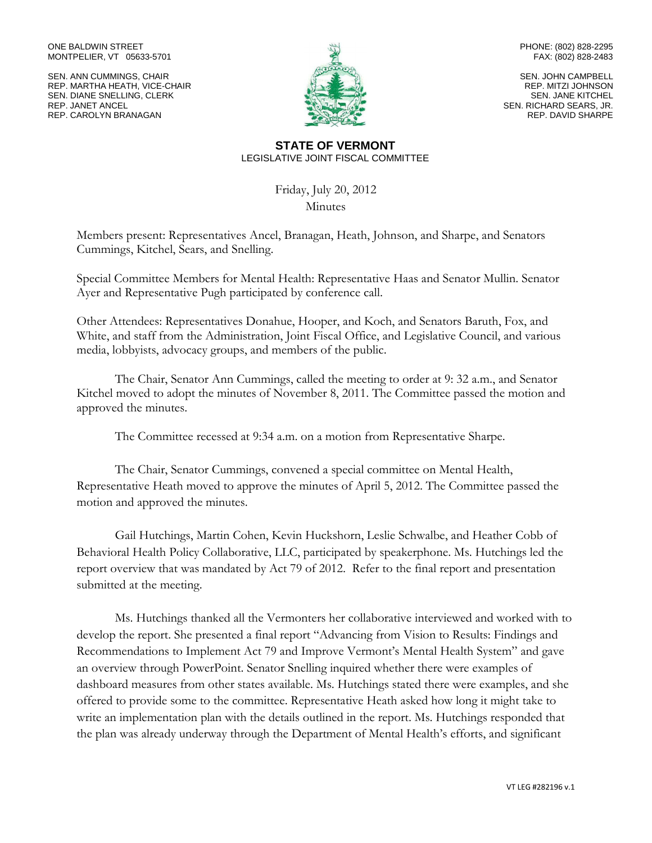#### ONE BALDWIN STREET MONTPELIER, VT 05633-5701

SEN. ANN CUMMINGS, CHAIR REP. MARTHA HEATH, VICE-CHAIR SEN. DIANE SNELLING, CLERK REP. JANET ANCEL REP. CAROLYN BRANAGAN



PHONE: (802) 828-2295 FAX: (802) 828-2483

SEN. JOHN CAMPBELL REP. MITZI JOHNSON SEN. JANE KITCHEL SEN. RICHARD SEARS, JR. REP. DAVID SHARPE

#### **STATE OF VERMONT** LEGISLATIVE JOINT FISCAL COMMITTEE

Friday, July 20, 2012 **Minutes** 

Members present: Representatives Ancel, Branagan, Heath, Johnson, and Sharpe, and Senators Cummings, Kitchel, Sears, and Snelling.

Special Committee Members for Mental Health: Representative Haas and Senator Mullin. Senator Ayer and Representative Pugh participated by conference call.

Other Attendees: Representatives Donahue, Hooper, and Koch, and Senators Baruth, Fox, and White, and staff from the Administration, Joint Fiscal Office, and Legislative Council, and various media, lobbyists, advocacy groups, and members of the public.

The Chair, Senator Ann Cummings, called the meeting to order at 9: 32 a.m., and Senator Kitchel moved to adopt the minutes of November 8, 2011. The Committee passed the motion and approved the minutes.

The Committee recessed at 9:34 a.m. on a motion from Representative Sharpe.

The Chair, Senator Cummings, convened a special committee on Mental Health, Representative Heath moved to approve the minutes of April 5, 2012. The Committee passed the motion and approved the minutes.

Gail Hutchings, Martin Cohen, Kevin Huckshorn, Leslie Schwalbe, and Heather Cobb of Behavioral Health Policy Collaborative, LLC, participated by speakerphone. Ms. Hutchings led the report overview that was mandated by Act 79 of 2012. Refer to the final report and presentation submitted at the meeting.

Ms. Hutchings thanked all the Vermonters her collaborative interviewed and worked with to develop the report. She presented a final report "Advancing from Vision to Results: Findings and Recommendations to Implement Act 79 and Improve Vermont's Mental Health System" and gave an overview through PowerPoint. Senator Snelling inquired whether there were examples of dashboard measures from other states available. Ms. Hutchings stated there were examples, and she offered to provide some to the committee. Representative Heath asked how long it might take to write an implementation plan with the details outlined in the report. Ms. Hutchings responded that the plan was already underway through the Department of Mental Health's efforts, and significant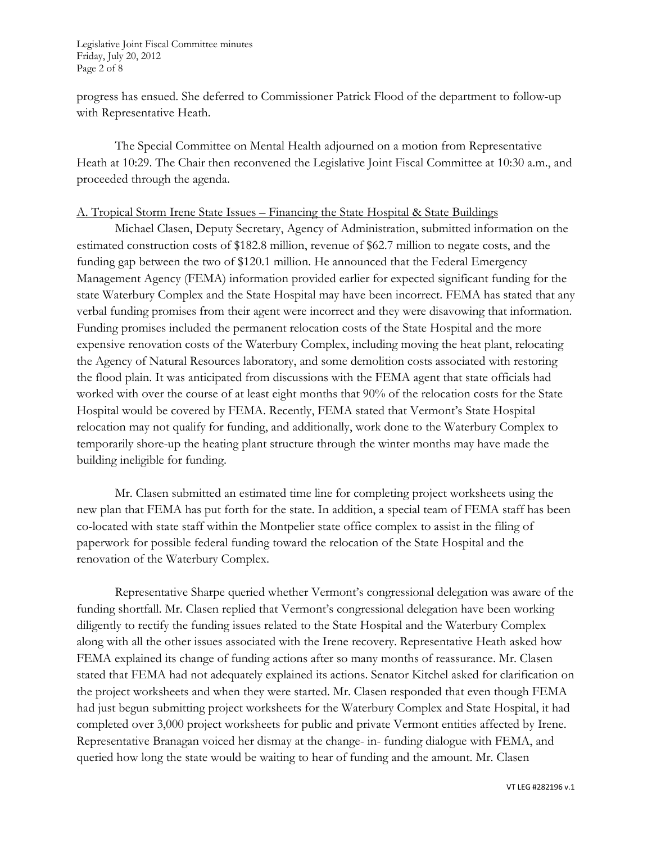Legislative Joint Fiscal Committee minutes Friday, July 20, 2012 Page 2 of 8

progress has ensued. She deferred to Commissioner Patrick Flood of the department to follow-up with Representative Heath.

The Special Committee on Mental Health adjourned on a motion from Representative Heath at 10:29. The Chair then reconvened the Legislative Joint Fiscal Committee at 10:30 a.m., and proceeded through the agenda.

#### A. Tropical Storm Irene State Issues – Financing the State Hospital & State Buildings

Michael Clasen, Deputy Secretary, Agency of Administration, submitted information on the estimated construction costs of \$182.8 million, revenue of \$62.7 million to negate costs, and the funding gap between the two of \$120.1 million. He announced that the Federal Emergency Management Agency (FEMA) information provided earlier for expected significant funding for the state Waterbury Complex and the State Hospital may have been incorrect. FEMA has stated that any verbal funding promises from their agent were incorrect and they were disavowing that information. Funding promises included the permanent relocation costs of the State Hospital and the more expensive renovation costs of the Waterbury Complex, including moving the heat plant, relocating the Agency of Natural Resources laboratory, and some demolition costs associated with restoring the flood plain. It was anticipated from discussions with the FEMA agent that state officials had worked with over the course of at least eight months that 90% of the relocation costs for the State Hospital would be covered by FEMA. Recently, FEMA stated that Vermont's State Hospital relocation may not qualify for funding, and additionally, work done to the Waterbury Complex to temporarily shore-up the heating plant structure through the winter months may have made the building ineligible for funding.

Mr. Clasen submitted an estimated time line for completing project worksheets using the new plan that FEMA has put forth for the state. In addition, a special team of FEMA staff has been co-located with state staff within the Montpelier state office complex to assist in the filing of paperwork for possible federal funding toward the relocation of the State Hospital and the renovation of the Waterbury Complex.

Representative Sharpe queried whether Vermont's congressional delegation was aware of the funding shortfall. Mr. Clasen replied that Vermont's congressional delegation have been working diligently to rectify the funding issues related to the State Hospital and the Waterbury Complex along with all the other issues associated with the Irene recovery. Representative Heath asked how FEMA explained its change of funding actions after so many months of reassurance. Mr. Clasen stated that FEMA had not adequately explained its actions. Senator Kitchel asked for clarification on the project worksheets and when they were started. Mr. Clasen responded that even though FEMA had just begun submitting project worksheets for the Waterbury Complex and State Hospital, it had completed over 3,000 project worksheets for public and private Vermont entities affected by Irene. Representative Branagan voiced her dismay at the change- in- funding dialogue with FEMA, and queried how long the state would be waiting to hear of funding and the amount. Mr. Clasen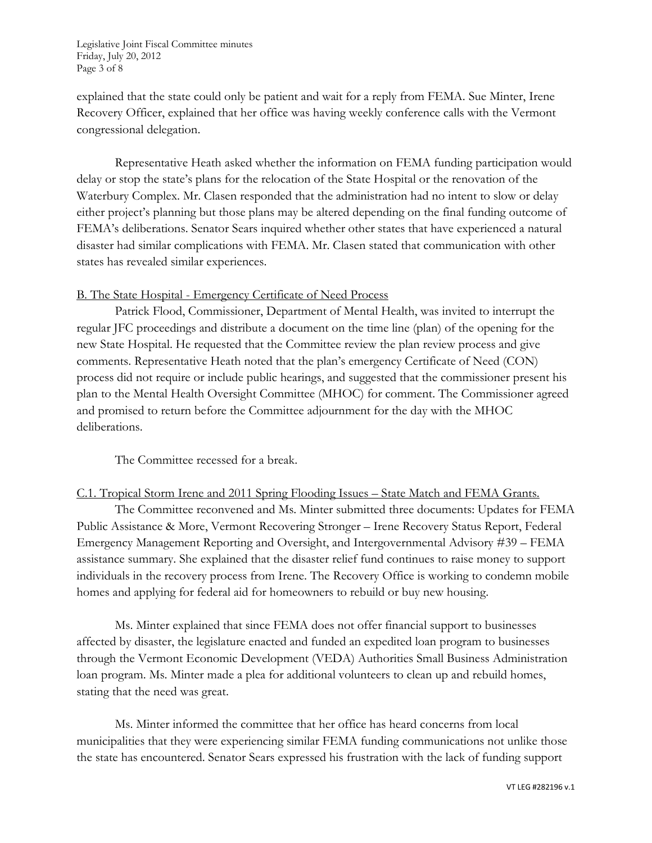Legislative Joint Fiscal Committee minutes Friday, July 20, 2012 Page 3 of 8

explained that the state could only be patient and wait for a reply from FEMA. Sue Minter, Irene Recovery Officer, explained that her office was having weekly conference calls with the Vermont congressional delegation.

Representative Heath asked whether the information on FEMA funding participation would delay or stop the state's plans for the relocation of the State Hospital or the renovation of the Waterbury Complex. Mr. Clasen responded that the administration had no intent to slow or delay either project's planning but those plans may be altered depending on the final funding outcome of FEMA's deliberations. Senator Sears inquired whether other states that have experienced a natural disaster had similar complications with FEMA. Mr. Clasen stated that communication with other states has revealed similar experiences.

### B. The State Hospital - Emergency Certificate of Need Process

Patrick Flood, Commissioner, Department of Mental Health, was invited to interrupt the regular JFC proceedings and distribute a document on the time line (plan) of the opening for the new State Hospital. He requested that the Committee review the plan review process and give comments. Representative Heath noted that the plan's emergency Certificate of Need (CON) process did not require or include public hearings, and suggested that the commissioner present his plan to the Mental Health Oversight Committee (MHOC) for comment. The Commissioner agreed and promised to return before the Committee adjournment for the day with the MHOC deliberations.

The Committee recessed for a break.

# C.1. Tropical Storm Irene and 2011 Spring Flooding Issues – State Match and FEMA Grants.

The Committee reconvened and Ms. Minter submitted three documents: Updates for FEMA Public Assistance & More, Vermont Recovering Stronger – Irene Recovery Status Report, Federal Emergency Management Reporting and Oversight, and Intergovernmental Advisory #39 – FEMA assistance summary. She explained that the disaster relief fund continues to raise money to support individuals in the recovery process from Irene. The Recovery Office is working to condemn mobile homes and applying for federal aid for homeowners to rebuild or buy new housing.

Ms. Minter explained that since FEMA does not offer financial support to businesses affected by disaster, the legislature enacted and funded an expedited loan program to businesses through the Vermont Economic Development (VEDA) Authorities Small Business Administration loan program. Ms. Minter made a plea for additional volunteers to clean up and rebuild homes, stating that the need was great.

Ms. Minter informed the committee that her office has heard concerns from local municipalities that they were experiencing similar FEMA funding communications not unlike those the state has encountered. Senator Sears expressed his frustration with the lack of funding support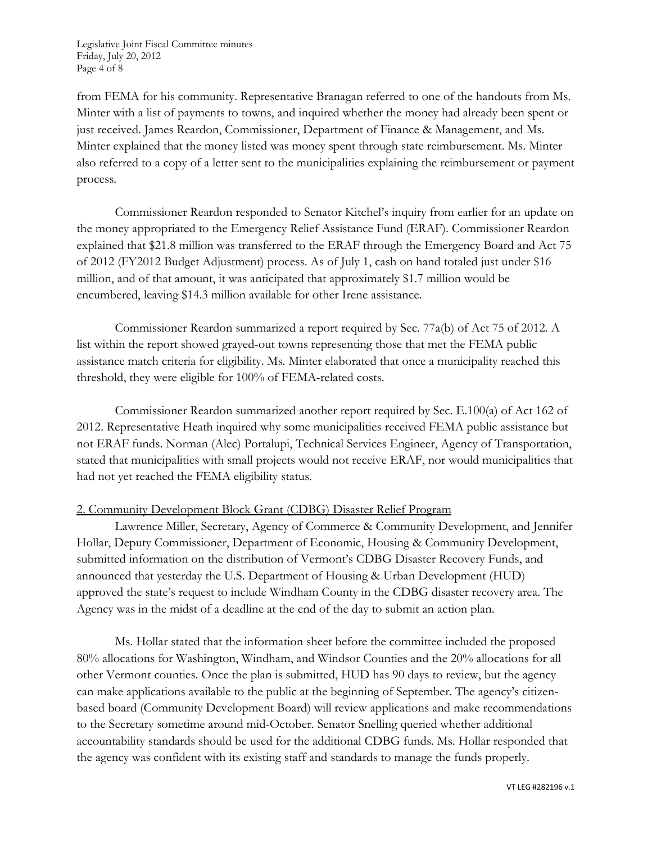Legislative Joint Fiscal Committee minutes Friday, July 20, 2012 Page 4 of 8

from FEMA for his community. Representative Branagan referred to one of the handouts from Ms. Minter with a list of payments to towns, and inquired whether the money had already been spent or just received. James Reardon, Commissioner, Department of Finance & Management, and Ms. Minter explained that the money listed was money spent through state reimbursement. Ms. Minter also referred to a copy of a letter sent to the municipalities explaining the reimbursement or payment process.

Commissioner Reardon responded to Senator Kitchel's inquiry from earlier for an update on the money appropriated to the Emergency Relief Assistance Fund (ERAF). Commissioner Reardon explained that \$21.8 million was transferred to the ERAF through the Emergency Board and Act 75 of 2012 (FY2012 Budget Adjustment) process. As of July 1, cash on hand totaled just under \$16 million, and of that amount, it was anticipated that approximately \$1.7 million would be encumbered, leaving \$14.3 million available for other Irene assistance.

Commissioner Reardon summarized a report required by Sec. 77a(b) of Act 75 of 2012. A list within the report showed grayed-out towns representing those that met the FEMA public assistance match criteria for eligibility. Ms. Minter elaborated that once a municipality reached this threshold, they were eligible for 100% of FEMA-related costs.

Commissioner Reardon summarized another report required by Sec. E.100(a) of Act 162 of 2012. Representative Heath inquired why some municipalities received FEMA public assistance but not ERAF funds. Norman (Alec) Portalupi, Technical Services Engineer, Agency of Transportation, stated that municipalities with small projects would not receive ERAF, nor would municipalities that had not yet reached the FEMA eligibility status.

# 2. Community Development Block Grant (CDBG) Disaster Relief Program

Lawrence Miller, Secretary, Agency of Commerce & Community Development, and Jennifer Hollar, Deputy Commissioner, Department of Economic, Housing & Community Development, submitted information on the distribution of Vermont's CDBG Disaster Recovery Funds, and announced that yesterday the U.S. Department of Housing & Urban Development (HUD) approved the state's request to include Windham County in the CDBG disaster recovery area. The Agency was in the midst of a deadline at the end of the day to submit an action plan.

Ms. Hollar stated that the information sheet before the committee included the proposed 80% allocations for Washington, Windham, and Windsor Counties and the 20% allocations for all other Vermont counties. Once the plan is submitted, HUD has 90 days to review, but the agency can make applications available to the public at the beginning of September. The agency's citizenbased board (Community Development Board) will review applications and make recommendations to the Secretary sometime around mid-October. Senator Snelling queried whether additional accountability standards should be used for the additional CDBG funds. Ms. Hollar responded that the agency was confident with its existing staff and standards to manage the funds properly.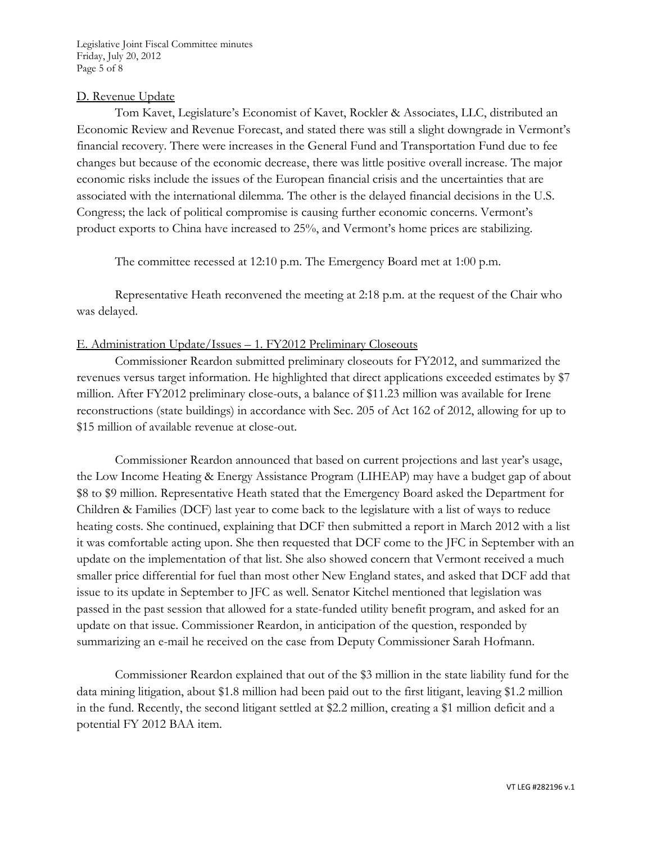Legislative Joint Fiscal Committee minutes Friday, July 20, 2012 Page 5 of 8

### D. Revenue Update

Tom Kavet, Legislature's Economist of Kavet, Rockler & Associates, LLC, distributed an Economic Review and Revenue Forecast, and stated there was still a slight downgrade in Vermont's financial recovery. There were increases in the General Fund and Transportation Fund due to fee changes but because of the economic decrease, there was little positive overall increase. The major economic risks include the issues of the European financial crisis and the uncertainties that are associated with the international dilemma. The other is the delayed financial decisions in the U.S. Congress; the lack of political compromise is causing further economic concerns. Vermont's product exports to China have increased to 25%, and Vermont's home prices are stabilizing.

The committee recessed at 12:10 p.m. The Emergency Board met at 1:00 p.m.

Representative Heath reconvened the meeting at 2:18 p.m. at the request of the Chair who was delayed.

### E. Administration Update/Issues – 1. FY2012 Preliminary Closeouts

Commissioner Reardon submitted preliminary closeouts for FY2012, and summarized the revenues versus target information. He highlighted that direct applications exceeded estimates by \$7 million. After FY2012 preliminary close-outs, a balance of \$11.23 million was available for Irene reconstructions (state buildings) in accordance with Sec. 205 of Act 162 of 2012, allowing for up to \$15 million of available revenue at close-out.

Commissioner Reardon announced that based on current projections and last year's usage, the Low Income Heating & Energy Assistance Program (LIHEAP) may have a budget gap of about \$8 to \$9 million. Representative Heath stated that the Emergency Board asked the Department for Children & Families (DCF) last year to come back to the legislature with a list of ways to reduce heating costs. She continued, explaining that DCF then submitted a report in March 2012 with a list it was comfortable acting upon. She then requested that DCF come to the JFC in September with an update on the implementation of that list. She also showed concern that Vermont received a much smaller price differential for fuel than most other New England states, and asked that DCF add that issue to its update in September to JFC as well. Senator Kitchel mentioned that legislation was passed in the past session that allowed for a state-funded utility benefit program, and asked for an update on that issue. Commissioner Reardon, in anticipation of the question, responded by summarizing an e-mail he received on the case from Deputy Commissioner Sarah Hofmann.

Commissioner Reardon explained that out of the \$3 million in the state liability fund for the data mining litigation, about \$1.8 million had been paid out to the first litigant, leaving \$1.2 million in the fund. Recently, the second litigant settled at \$2.2 million, creating a \$1 million deficit and a potential FY 2012 BAA item.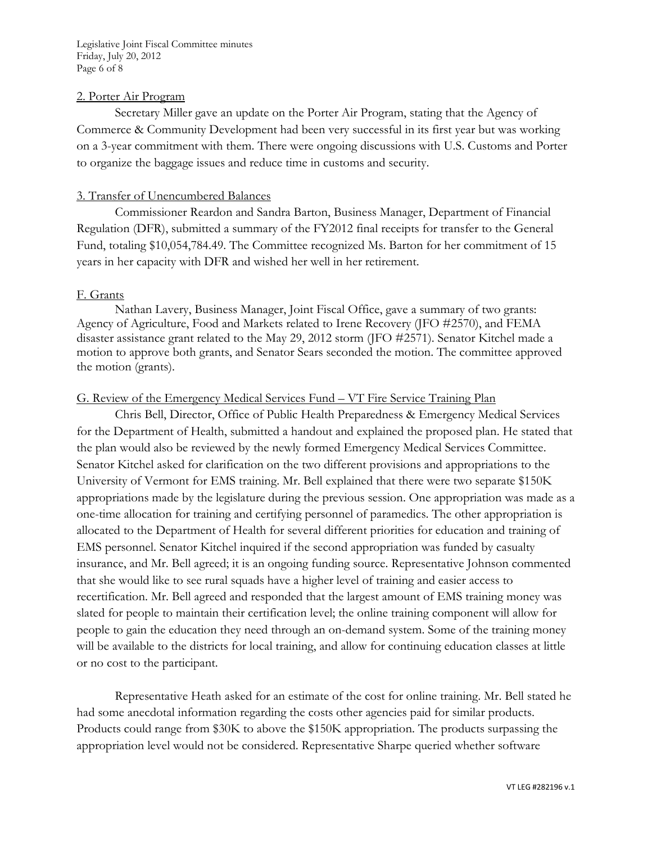Legislative Joint Fiscal Committee minutes Friday, July 20, 2012 Page 6 of 8

#### 2. Porter Air Program

Secretary Miller gave an update on the Porter Air Program, stating that the Agency of Commerce & Community Development had been very successful in its first year but was working on a 3-year commitment with them. There were ongoing discussions with U.S. Customs and Porter to organize the baggage issues and reduce time in customs and security.

#### 3. Transfer of Unencumbered Balances

Commissioner Reardon and Sandra Barton, Business Manager, Department of Financial Regulation (DFR), submitted a summary of the FY2012 final receipts for transfer to the General Fund, totaling \$10,054,784.49. The Committee recognized Ms. Barton for her commitment of 15 years in her capacity with DFR and wished her well in her retirement.

#### F. Grants

Nathan Lavery, Business Manager, Joint Fiscal Office, gave a summary of two grants: Agency of Agriculture, Food and Markets related to Irene Recovery (JFO #2570), and FEMA disaster assistance grant related to the May 29, 2012 storm (JFO #2571). Senator Kitchel made a motion to approve both grants, and Senator Sears seconded the motion. The committee approved the motion (grants).

# G. Review of the Emergency Medical Services Fund – VT Fire Service Training Plan

Chris Bell, Director, Office of Public Health Preparedness & Emergency Medical Services for the Department of Health, submitted a handout and explained the proposed plan. He stated that the plan would also be reviewed by the newly formed Emergency Medical Services Committee. Senator Kitchel asked for clarification on the two different provisions and appropriations to the University of Vermont for EMS training. Mr. Bell explained that there were two separate \$150K appropriations made by the legislature during the previous session. One appropriation was made as a one-time allocation for training and certifying personnel of paramedics. The other appropriation is allocated to the Department of Health for several different priorities for education and training of EMS personnel. Senator Kitchel inquired if the second appropriation was funded by casualty insurance, and Mr. Bell agreed; it is an ongoing funding source. Representative Johnson commented that she would like to see rural squads have a higher level of training and easier access to recertification. Mr. Bell agreed and responded that the largest amount of EMS training money was slated for people to maintain their certification level; the online training component will allow for people to gain the education they need through an on-demand system. Some of the training money will be available to the districts for local training, and allow for continuing education classes at little or no cost to the participant.

Representative Heath asked for an estimate of the cost for online training. Mr. Bell stated he had some anecdotal information regarding the costs other agencies paid for similar products. Products could range from \$30K to above the \$150K appropriation. The products surpassing the appropriation level would not be considered. Representative Sharpe queried whether software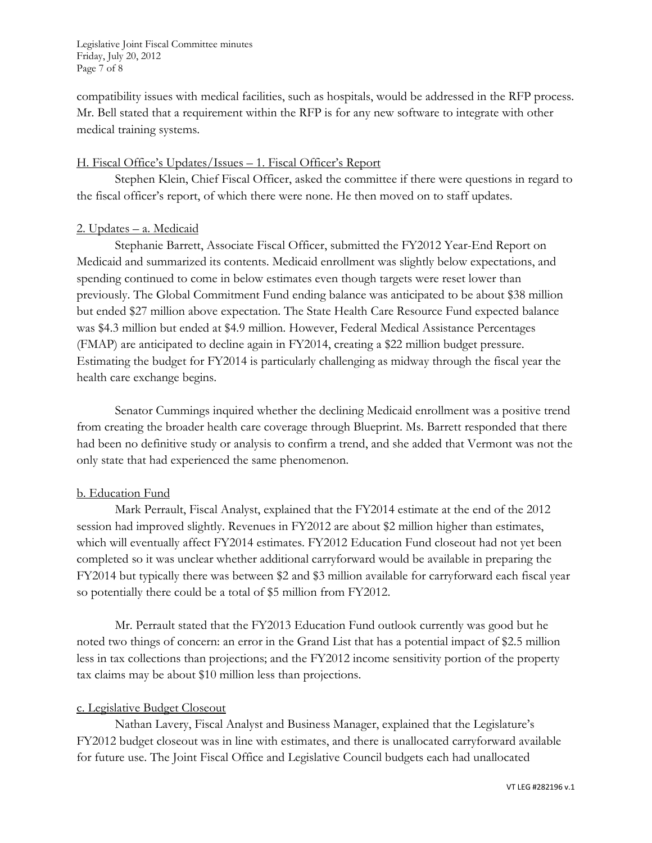Legislative Joint Fiscal Committee minutes Friday, July 20, 2012 Page 7 of 8

compatibility issues with medical facilities, such as hospitals, would be addressed in the RFP process. Mr. Bell stated that a requirement within the RFP is for any new software to integrate with other medical training systems.

# H. Fiscal Office's Updates/Issues – 1. Fiscal Officer's Report

Stephen Klein, Chief Fiscal Officer, asked the committee if there were questions in regard to the fiscal officer's report, of which there were none. He then moved on to staff updates.

### 2. Updates – a. Medicaid

Stephanie Barrett, Associate Fiscal Officer, submitted the FY2012 Year-End Report on Medicaid and summarized its contents. Medicaid enrollment was slightly below expectations, and spending continued to come in below estimates even though targets were reset lower than previously. The Global Commitment Fund ending balance was anticipated to be about \$38 million but ended \$27 million above expectation. The State Health Care Resource Fund expected balance was \$4.3 million but ended at \$4.9 million. However, Federal Medical Assistance Percentages (FMAP) are anticipated to decline again in FY2014, creating a \$22 million budget pressure. Estimating the budget for FY2014 is particularly challenging as midway through the fiscal year the health care exchange begins.

Senator Cummings inquired whether the declining Medicaid enrollment was a positive trend from creating the broader health care coverage through Blueprint. Ms. Barrett responded that there had been no definitive study or analysis to confirm a trend, and she added that Vermont was not the only state that had experienced the same phenomenon.

### b. Education Fund

Mark Perrault, Fiscal Analyst, explained that the FY2014 estimate at the end of the 2012 session had improved slightly. Revenues in FY2012 are about \$2 million higher than estimates, which will eventually affect FY2014 estimates. FY2012 Education Fund closeout had not yet been completed so it was unclear whether additional carryforward would be available in preparing the FY2014 but typically there was between \$2 and \$3 million available for carryforward each fiscal year so potentially there could be a total of \$5 million from FY2012.

Mr. Perrault stated that the FY2013 Education Fund outlook currently was good but he noted two things of concern: an error in the Grand List that has a potential impact of \$2.5 million less in tax collections than projections; and the FY2012 income sensitivity portion of the property tax claims may be about \$10 million less than projections.

# c. Legislative Budget Closeout

Nathan Lavery, Fiscal Analyst and Business Manager, explained that the Legislature's FY2012 budget closeout was in line with estimates, and there is unallocated carryforward available for future use. The Joint Fiscal Office and Legislative Council budgets each had unallocated